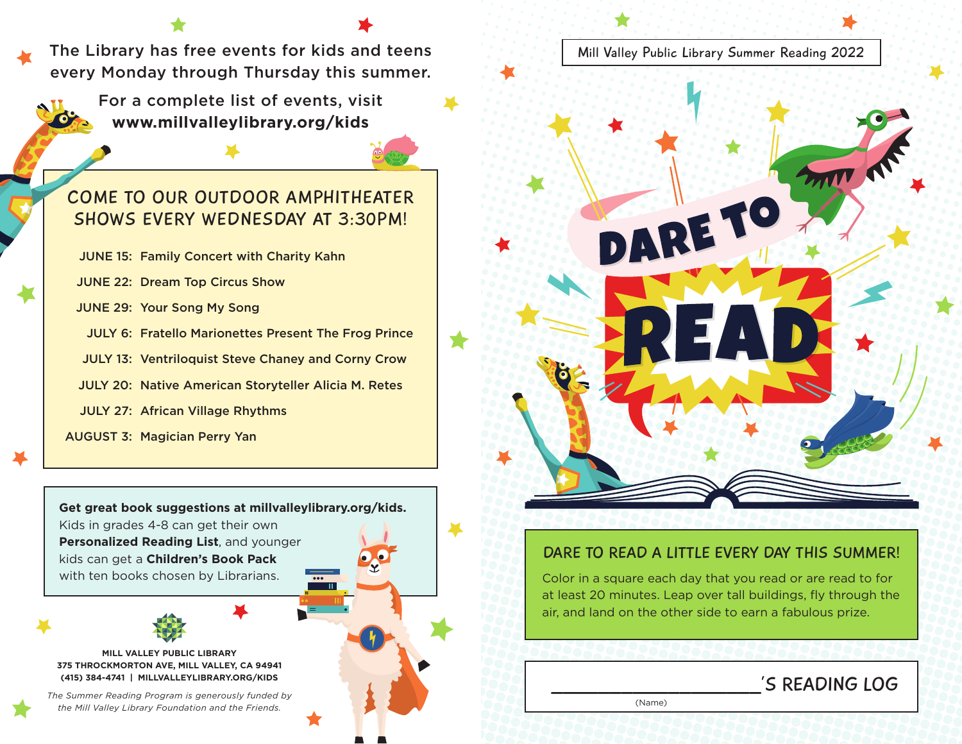The Library has free events for kids and teens every Monday through Thursday this summer.

> For a complete list of events, visit **[www.millvalleylibrary.org/kids](https://www.millvalleylibrary.org/380/Children)**

## COME TO OUR OUTDOOR AMPHITHEATER SHOWS EVERY WEDNESDAY AT 3:30PM!

JUNE 15: Family Concert with Charity Kahn

JUNE 22: Dream Top Circus Show

JUNE 29: Your Song My Song

JULY 6: Fratello Marionettes Present The Frog Prince

JULY 13: Ventriloquist Steve Chaney and Corny Crow

JULY 20: Native American Storyteller Alicia M. Retes

JULY 27: African Village Rhythms

AUGUST 3: Magician Perry Yan

**Get great book suggestions at [millvalleylibrary.org/kids.](https://www.millvalleylibrary.org/380/Children)**  Kids in grades 4-8 can get their own **Personalized Reading List**, and younger kids can get a **Children's Book Pack** with ten books chosen by Librarians.



**MILL VALLEY PUBLIC LIBRARY 375 THROCKMORTON AVE, MILL VALLEY, CA 94941 (415) 384-4741 | [MILLVALLEYLIBRARY.ORG/KIDS](https://www.millvalleylibrary.org/380/Children)**

*The Summer Reading Program is generously funded by the Mill Valley Library Foundation and the Friends.*



## DARE TO READ A LITTLE EVERY DAY THIS SUMMER!

Color in a square each day that you read or are read to for at least 20 minutes. Leap over tall buildings, fly through the air, and land on the other side to earn a fabulous prize.

## 'S READING LOG

(Name)